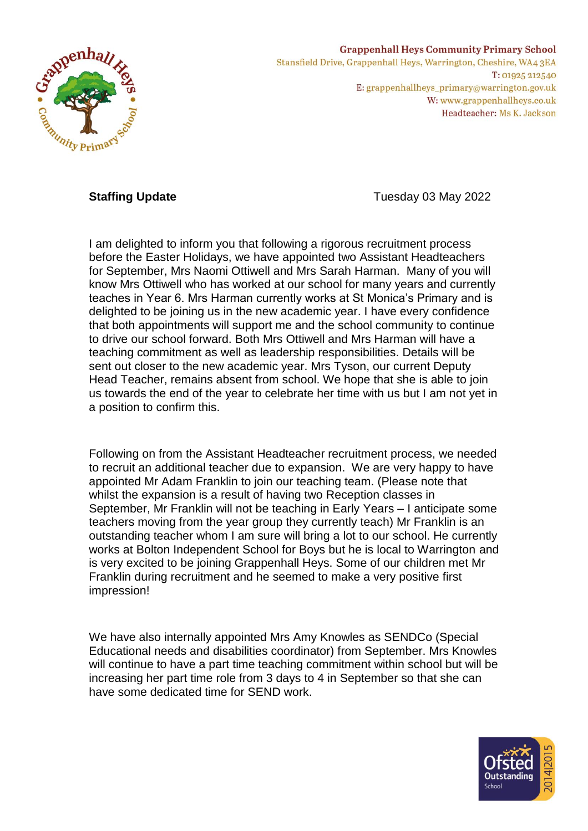

## **Grappenhall Heys Community Primary School** Stansfield Drive, Grappenhall Heys, Warrington, Cheshire, WA43EA T: 01925 212540

E: grappenhallheys\_primary@warrington.gov.uk W: www.grappenhallheys.co.uk Headteacher: Ms K. Jackson

**Staffing Update** Tuesday 03 May 2022

I am delighted to inform you that following a rigorous recruitment process before the Easter Holidays, we have appointed two Assistant Headteachers for September, Mrs Naomi Ottiwell and Mrs Sarah Harman. Many of you will know Mrs Ottiwell who has worked at our school for many years and currently teaches in Year 6. Mrs Harman currently works at St Monica's Primary and is delighted to be joining us in the new academic year. I have every confidence that both appointments will support me and the school community to continue to drive our school forward. Both Mrs Ottiwell and Mrs Harman will have a teaching commitment as well as leadership responsibilities. Details will be sent out closer to the new academic year. Mrs Tyson, our current Deputy Head Teacher, remains absent from school. We hope that she is able to join us towards the end of the year to celebrate her time with us but I am not yet in a position to confirm this.

Following on from the Assistant Headteacher recruitment process, we needed to recruit an additional teacher due to expansion. We are very happy to have appointed Mr Adam Franklin to join our teaching team. (Please note that whilst the expansion is a result of having two Reception classes in September, Mr Franklin will not be teaching in Early Years – I anticipate some teachers moving from the year group they currently teach) Mr Franklin is an outstanding teacher whom I am sure will bring a lot to our school. He currently works at Bolton Independent School for Boys but he is local to Warrington and is very excited to be joining Grappenhall Heys. Some of our children met Mr Franklin during recruitment and he seemed to make a very positive first impression!

We have also internally appointed Mrs Amy Knowles as SENDCo (Special Educational needs and disabilities coordinator) from September. Mrs Knowles will continue to have a part time teaching commitment within school but will be increasing her part time role from 3 days to 4 in September so that she can have some dedicated time for SEND work.